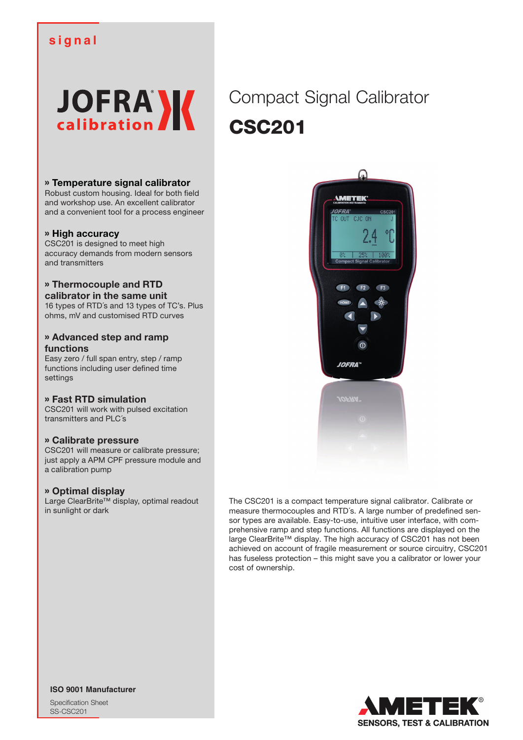# **signal**



### » **Temperature signal calibrator**

Robust custom housing. Ideal for both field and workshop use. An excellent calibrator and a convenient tool for a process engineer

#### » **High accuracy**

CSC201 is designed to meet high accuracy demands from modern sensors and transmitters

#### » **Thermocouple and RTD calibrator in the same unit**

16 types of RTD´s and 13 types of TC's. Plus ohms, mV and customised RTD curves

#### » **Advanced step and ramp functions**

Easy zero / full span entry, step / ramp functions including user defined time settings

### » **Fast RTD simulation**

CSC201 will work with pulsed excitation transmitters and PLC´s

#### » **Calibrate pressure**

CSC201 will measure or calibrate pressure; just apply a APM CPF pressure module and a calibration pump

#### » **Optimal display**

Large ClearBrite™ display, optimal readout in sunlight or dark

Compact Signal Calibrator CSC201



The CSC201 is a compact temperature signal calibrator. Calibrate or measure thermocouples and RTD´s. A large number of predefined sensor types are available. Easy-to-use, intuitive user interface, with comprehensive ramp and step functions. All functions are displayed on the large ClearBrite™ display. The high accuracy of CSC201 has not been achieved on account of fragile measurement or source circuitry, CSC201 has fuseless protection – this might save you a calibrator or lower your cost of ownership.



**ISO 9001 Manufacturer**

Specification Sheet SS-CSC201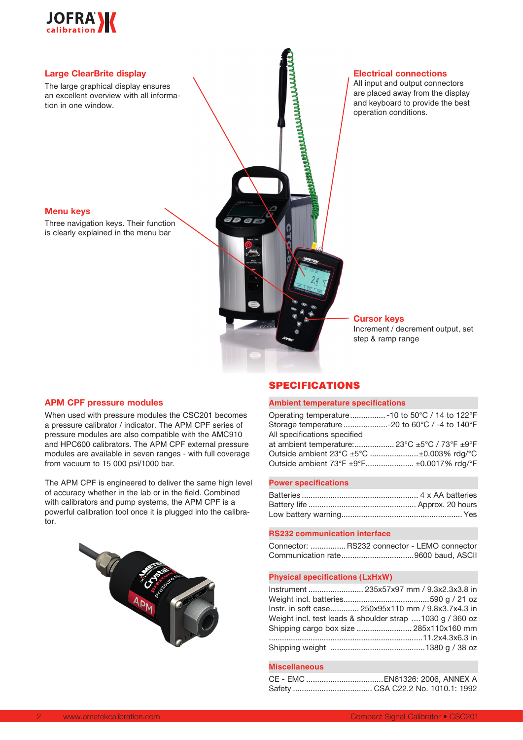



#### **APM CPF pressure modules**

When used with pressure modules the CSC201 becomes a pressure calibrator / indicator. The APM CPF series of pressure modules are also compatible with the AMC910 and HPC600 calibrators. The APM CPF external pressure modules are available in seven ranges - with full coverage from vacuum to 15 000 psi/1000 bar.

The APM CPF is engineered to deliver the same high level of accuracy whether in the lab or in the field. Combined with calibrators and pump systems, the APM CPF is a powerful calibration tool once it is plugged into the calibrator.



### SPECIFICATIONS

#### **Ambient temperature specifications**

| Operating temperature -10 to $50^{\circ}$ C / 14 to 122 $^{\circ}$ F |  |
|----------------------------------------------------------------------|--|
| Storage temperature -20 to 60°C / -4 to 140°F                        |  |
| All specifications specified                                         |  |
| at ambient temperature: 23°C $\pm$ 5°C / 73°F $\pm$ 9°F              |  |
| Outside ambient 23°C ±5°C ±0.003% rdq/°C                             |  |
| Outside ambient 73°F ±9°F ±0.0017% rdg/°F                            |  |
|                                                                      |  |

#### **Power specifications**

#### **RS232 communication interface**

| Connector:  RS232 connector - LEMO connector |  |  |
|----------------------------------------------|--|--|
|                                              |  |  |

#### **Physical specifications (LxHxW)**

| Instrument  235x57x97 mm / 9.3x2.3x3.8 in                |
|----------------------------------------------------------|
|                                                          |
| lnstr. in soft case 250x95x110 mm / 9.8x3.7x4.3 in       |
| Weight incl. test leads & shoulder strap 1030 g / 360 oz |
| Shipping cargo box size  285x110x160 mm                  |
|                                                          |
|                                                          |

#### **Miscellaneous**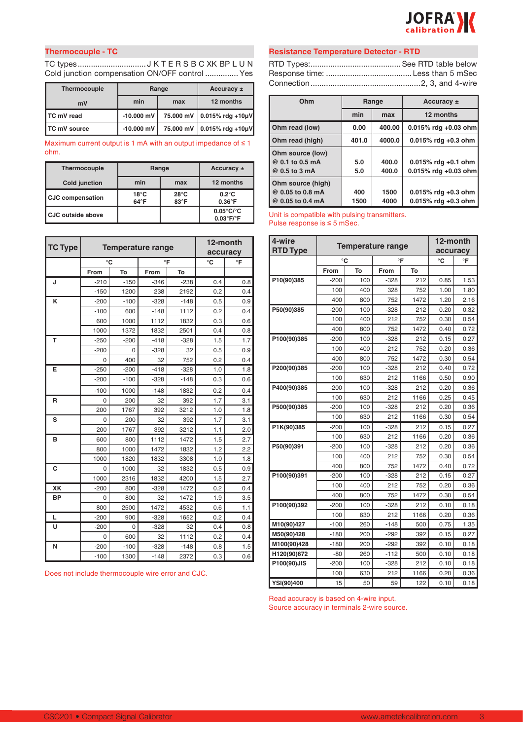

### **Thermocouple - TC**

TC types............................... J K T E R S B C XK BP L U N Cold junction compensation ON/OFF control ............... Yes

| <b>Thermocouple</b> | Range        | Accuracy $\pm$ |                                           |  |
|---------------------|--------------|----------------|-------------------------------------------|--|
| mV                  | min<br>max   |                | 12 months                                 |  |
| I TC mV read        | $-10,000$ mV | 75.000 mV      | $0.015%$ rdg +10µV                        |  |
| TC mV source        | $-10,000$ mV | 75,000 mV      | $ 0.015\% \text{ rdg} + 10 \mu \text{V} $ |  |

Maximum current output is 1 mA with an output impedance of  $\leq 1$ ohm.

| Thermocouple            | Range                           | Accuracy $\pm$                 |                                                                  |
|-------------------------|---------------------------------|--------------------------------|------------------------------------------------------------------|
| Cold junction           | min                             | max                            | 12 months                                                        |
| <b>CJC compensation</b> | $18^{\circ}$ C<br>$64^{\circ}F$ | $28^{\circ}$ C<br>$83^\circ F$ | $0.2^{\circ}$ C<br>$0.36^{\circ}$ F                              |
| l CJC outside above     |                                 |                                | $0.05^{\circ}$ C/ $^{\circ}$ C<br>$0.03^{\circ}$ F/ $^{\circ}$ F |

| <b>TC Type</b> |        | <b>Temperature range</b> | 12-month<br>accuracy |        |     |     |
|----------------|--------|--------------------------|----------------------|--------|-----|-----|
|                | °C     |                          | °F                   |        | °C  | °F  |
|                | From   | To                       | From                 | To     |     |     |
| J              | $-210$ | $-150$                   | $-346$               | $-238$ | 0.4 | 0.8 |
|                | $-150$ | 1200                     | 238                  | 2192   | 0.2 | 0.4 |
| K              | $-200$ | $-100$                   | $-328$               | $-148$ | 0.5 | 0.9 |
|                | $-100$ | 600                      | $-148$               | 1112   | 0.2 | 0.4 |
|                | 600    | 1000                     | 1112                 | 1832   | 0.3 | 0.6 |
|                | 1000   | 1372                     | 1832                 | 2501   | 0.4 | 0.8 |
| T              | $-250$ | $-200$                   | $-418$               | $-328$ | 1.5 | 1.7 |
|                | $-200$ | $\Omega$                 | $-328$               | 32     | 0.5 | 0.9 |
|                | 0      | 400                      | 32                   | 752    | 0.2 | 0.4 |
| E              | $-250$ | $-200$                   | $-418$               | $-328$ | 1.0 | 1.8 |
|                | $-200$ | $-100$                   | $-328$               | $-148$ | 0.3 | 0.6 |
|                | $-100$ | 1000                     | $-148$               | 1832   | 0.2 | 0.4 |
| R              | 0      | 200                      | 32                   | 392    | 1.7 | 3.1 |
|                | 200    | 1767                     | 392                  | 3212   | 1.0 | 1.8 |
| S              | 0      | 200                      | 32                   | 392    | 1.7 | 3.1 |
|                | 200    | 1767                     | 392                  | 3212   | 1.1 | 2.0 |
| B              | 600    | 800                      | 1112                 | 1472   | 1.5 | 2.7 |
|                | 800    | 1000                     | 1472                 | 1832   | 1.2 | 2.2 |
|                | 1000   | 1820                     | 1832                 | 3308   | 1.0 | 1.8 |
| C              | 0      | 1000                     | 32                   | 1832   | 0.5 | 0.9 |
|                | 1000   | 2316                     | 1832                 | 4200   | 1.5 | 2.7 |
| XK             | $-200$ | 800                      | $-328$               | 1472   | 0.2 | 0.4 |
| <b>BP</b>      | 0      | 800                      | 32                   | 1472   | 1.9 | 3.5 |
|                | 800    | 2500                     | 1472                 | 4532   | 0.6 | 1.1 |
| L              | $-200$ | 900                      | $-328$               | 1652   | 0.2 | 0.4 |
| U              | $-200$ | 0                        | $-328$               | 32     | 0.4 | 0.8 |
|                | 0      | 600                      | 32                   | 1112   | 0.2 | 0.4 |
| N              | $-200$ | $-100$                   | $-328$               | $-148$ | 0.8 | 1.5 |
|                | $-100$ | 1300                     | $-148$               | 2372   | 0.3 | 0.6 |

Does not include thermocouple wire error and CJC.

#### **Resistance Temperature Detector - RTD**

RTD Types:......................................... See RTD table below Response time: ....................................... Less than 5 mSec Connection..................................................2, 3, and 4-wire **Thermocouple**

| Ohm               | Range |        | Accuracy ±              |
|-------------------|-------|--------|-------------------------|
|                   | min   | max    | 12 months               |
| Ohm read (low)    | 0.00  | 400.00 | $0.015\%$ rdg +0.03 ohm |
| Ohm read (high)   | 401.0 | 4000.0 | $0.015\%$ rdg +0.3 ohm  |
| Ohm source (low)  |       |        |                         |
| @ 0.1 to 0.5 mA   | 5.0   | 400.0  | $0.015\%$ rdg +0.1 ohm  |
| @ 0.5 to 3 mA     | 5.0   | 400.0  | $0.015\%$ rdg +0.03 ohm |
| Ohm source (high) |       |        |                         |
| @ 0.05 to 0.8 mA  | 400   | 1500   | $0.015\%$ rdg +0.3 ohm  |
| @ 0.05 to 0.4 mA  | 1500  | 4000   | $0.015\%$ rdg +0.3 ohm  |

Unit is compatible with pulsing transmitters. Pulse response is ≤ 5 mSec.

| 4-wire          |                          | 12-month |        |      |      |      |
|-----------------|--------------------------|----------|--------|------|------|------|
| <b>RTD Type</b> | <b>Temperature range</b> | accuracy |        |      |      |      |
|                 | °C                       |          | °F     |      | °C   | °F   |
|                 | From                     | To       | From   | To   |      |      |
| P10(90)385      | $-200$                   | 100      | $-328$ | 212  | 0.85 | 1.53 |
|                 | 100                      | 400      | 328    | 752  | 1.00 | 1.80 |
|                 | 400                      | 800      | 752    | 1472 | 1.20 | 2.16 |
| P50(90)385      | -200                     | 100      | $-328$ | 212  | 0.20 | 0.32 |
|                 | 100                      | 400      | 212    | 752  | 0.30 | 0.54 |
|                 | 400                      | 800      | 752    | 1472 | 0.40 | 0.72 |
| P100(90)385     | $-200$                   | 100      | $-328$ | 212  | 0.15 | 0.27 |
|                 | 100                      | 400      | 212    | 752  | 0.20 | 0.36 |
|                 | 400                      | 800      | 752    | 1472 | 0.30 | 0.54 |
| P200(90)385     | -200                     | 100      | $-328$ | 212  | 0.40 | 0.72 |
|                 | 100                      | 630      | 212    | 1166 | 0.50 | 0.90 |
| P400(90)385     | $-200$                   | 100      | $-328$ | 212  | 0.20 | 0.36 |
|                 | 100                      | 630      | 212    | 1166 | 0.25 | 0.45 |
| P500(90)385     | $-200$                   | 100      | $-328$ | 212  | 0.20 | 0.36 |
|                 | 100                      | 630      | 212    | 1166 | 0.30 | 0.54 |
| P1K(90)385      | $-200$                   | 100      | $-328$ | 212  | 0.15 | 0.27 |
|                 | 100                      | 630      | 212    | 1166 | 0.20 | 0.36 |
| P50(90)391      | $-200$                   | 100      | $-328$ | 212  | 0.20 | 0.36 |
|                 | 100                      | 400      | 212    | 752  | 0.30 | 0.54 |
|                 | 400                      | 800      | 752    | 1472 | 0.40 | 0.72 |
| P100(90)391     | -200                     | 100      | -328   | 212  | 0.15 | 0.27 |
|                 | 100                      | 400      | 212    | 752  | 0.20 | 0.36 |
|                 | 400                      | 800      | 752    | 1472 | 0.30 | 0.54 |
| P100(90)392     | $-200$                   | 100      | $-328$ | 212  | 0.10 | 0.18 |
|                 | 100                      | 630      | 212    | 1166 | 0.20 | 0.36 |
| M10(90)427      | $-100$                   | 260      | $-148$ | 500  | 0.75 | 1.35 |
| M50(90)428      | $-180$                   | 200      | $-292$ | 392  | 0.15 | 0.27 |
| M100(90)428     | $-180$                   | 200      | $-292$ | 392  | 0.10 | 0.18 |
| H120(90)672     | $-80$                    | 260      | $-112$ | 500  | 0.10 | 0.18 |
| P100(90)JIS     | $-200$                   | 100      | $-328$ | 212  | 0.10 | 0.18 |
|                 | 100                      | 630      | 212    | 1166 | 0.20 | 0.36 |
| YSI(90)400      | 15                       | 50       | 59     | 122  | 0.10 | 0.18 |

Read accuracy is based on 4-wire input. Source accuracy in terminals 2-wire source.